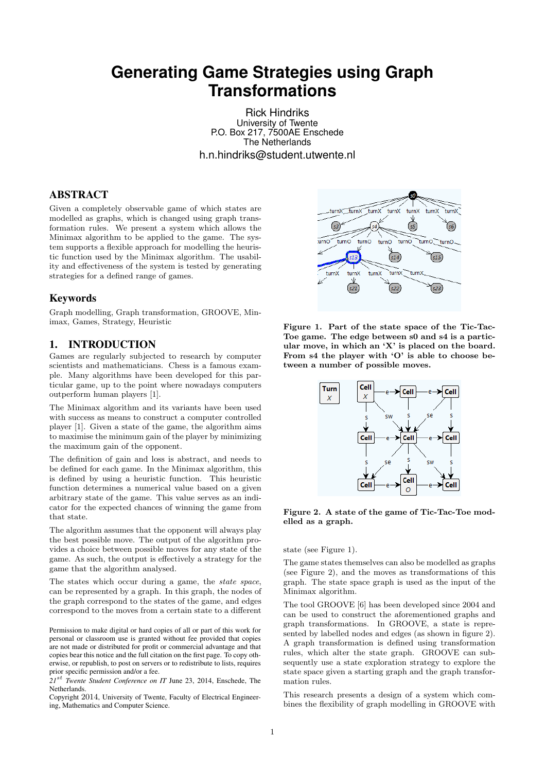# **Generating Game Strategies using Graph Transformations**

Rick Hindriks University of Twente P.O. Box 217, 7500AE Enschede The Netherlands h.n.hindriks@student.utwente.nl

## ABSTRACT

Given a completely observable game of which states are modelled as graphs, which is changed using graph transformation rules. We present a system which allows the Minimax algorithm to be applied to the game. The system supports a flexible approach for modelling the heuristic function used by the Minimax algorithm. The usability and effectiveness of the system is tested by generating strategies for a defined range of games.

#### Keywords

Graph modelling, Graph transformation, GROOVE, Minimax, Games, Strategy, Heuristic

## 1. INTRODUCTION

Games are regularly subjected to research by computer scientists and mathematicians. Chess is a famous example. Many algorithms have been developed for this particular game, up to the point where nowadays computers outperform human players [1].

The Minimax algorithm and its variants have been used with success as means to construct a computer controlled player [1]. Given a state of the game, the algorithm aims to maximise the minimum gain of the player by minimizing the maximum gain of the opponent.

The definition of gain and loss is abstract, and needs to be defined for each game. In the Minimax algorithm, this is defined by using a heuristic function. This heuristic function determines a numerical value based on a given arbitrary state of the game. This value serves as an indicator for the expected chances of winning the game from that state.

The algorithm assumes that the opponent will always play the best possible move. The output of the algorithm provides a choice between possible moves for any state of the game. As such, the output is effectively a strategy for the game that the algorithm analysed.

The states which occur during a game, the state space, can be represented by a graph. In this graph, the nodes of the graph correspond to the states of the game, and edges correspond to the moves from a certain state to a different

Permission to make digital or hard copies of all or part of this work for personal or classroom use is granted without fee provided that copies are not made or distributed for profit or commercial advantage and that copies bear this notice and the full citation on the first page. To copy otherwise, or republish, to post on servers or to redistribute to lists, requires prior specific permission and/or a fee.

*21*st *Twente Student Conference on IT* June 23, 2014, Enschede, The Netherlands.

Copyright 2014, University of Twente, Faculty of Electrical Engineering, Mathematics and Computer Science.



Figure 1. Part of the state space of the Tic-Tac-Toe game. The edge between s0 and s4 is a particular move, in which an 'X' is placed on the board. From  $s4$  the player with 'O' is able to choose between a number of possible moves.



Figure 2. A state of the game of Tic-Tac-Toe modelled as a graph.

state (see Figure 1).

The game states themselves can also be modelled as graphs (see Figure 2), and the moves as transformations of this graph. The state space graph is used as the input of the Minimax algorithm.

The tool GROOVE [6] has been developed since 2004 and can be used to construct the aforementioned graphs and graph transformations. In GROOVE, a state is represented by labelled nodes and edges (as shown in figure 2). A graph transformation is defined using transformation rules, which alter the state graph. GROOVE can subsequently use a state exploration strategy to explore the state space given a starting graph and the graph transformation rules.

This research presents a design of a system which combines the flexibility of graph modelling in GROOVE with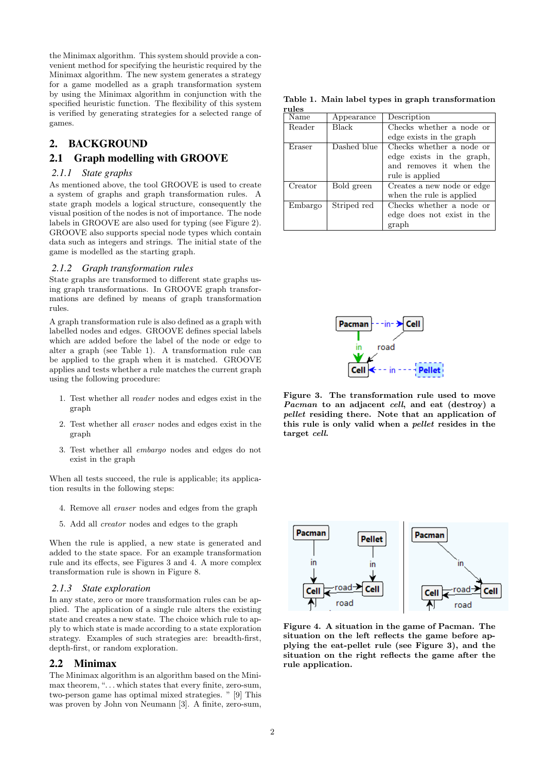the Minimax algorithm. This system should provide a convenient method for specifying the heuristic required by the Minimax algorithm. The new system generates a strategy for a game modelled as a graph transformation system by using the Minimax algorithm in conjunction with the specified heuristic function. The flexibility of this system is verified by generating strategies for a selected range of games.

## 2. BACKGROUND

## 2.1 Graph modelling with GROOVE

#### *2.1.1 State graphs*

As mentioned above, the tool GROOVE is used to create a system of graphs and graph transformation rules. A state graph models a logical structure, consequently the visual position of the nodes is not of importance. The node labels in GROOVE are also used for typing (see Figure 2). GROOVE also supports special node types which contain data such as integers and strings. The initial state of the game is modelled as the starting graph.

#### *2.1.2 Graph transformation rules*

State graphs are transformed to different state graphs using graph transformations. In GROOVE graph transformations are defined by means of graph transformation rules.

A graph transformation rule is also defined as a graph with labelled nodes and edges. GROOVE defines special labels which are added before the label of the node or edge to alter a graph (see Table 1). A transformation rule can be applied to the graph when it is matched. GROOVE applies and tests whether a rule matches the current graph using the following procedure:

- 1. Test whether all reader nodes and edges exist in the graph
- 2. Test whether all eraser nodes and edges exist in the graph
- 3. Test whether all embargo nodes and edges do not exist in the graph

When all tests succeed, the rule is applicable; its application results in the following steps:

- 4. Remove all eraser nodes and edges from the graph
- 5. Add all creator nodes and edges to the graph

When the rule is applied, a new state is generated and added to the state space. For an example transformation rule and its effects, see Figures 3 and 4. A more complex transformation rule is shown in Figure 8.

#### *2.1.3 State exploration*

In any state, zero or more transformation rules can be applied. The application of a single rule alters the existing state and creates a new state. The choice which rule to apply to which state is made according to a state exploration strategy. Examples of such strategies are: breadth-first, depth-first, or random exploration.

#### 2.2 Minimax

The Minimax algorithm is an algorithm based on the Minimax theorem, "... which states that every finite, zero-sum, two-person game has optimal mixed strategies. " [9] This was proven by John von Neumann [3]. A finite, zero-sum,

Table 1. Main label types in graph transformation rules

| .       |             |                            |
|---------|-------------|----------------------------|
| Name    | Appearance  | Description                |
| Reader  | Black       | Checks whether a node or   |
|         |             | edge exists in the graph   |
| Eraser  | Dashed blue | Checks whether a node or   |
|         |             | edge exists in the graph,  |
|         |             | and removes it when the    |
|         |             | rule is applied            |
| Creator | Bold green  | Creates a new node or edge |
|         |             | when the rule is applied   |
| Embargo | Striped red | Checks whether a node or   |
|         |             | edge does not exist in the |
|         |             | graph                      |



Figure 3. The transformation rule used to move Pacman to an adjacent cell, and eat (destroy) a pellet residing there. Note that an application of this rule is only valid when a pellet resides in the target cell.



Figure 4. A situation in the game of Pacman. The situation on the left reflects the game before applying the eat-pellet rule (see Figure 3), and the situation on the right reflects the game after the rule application.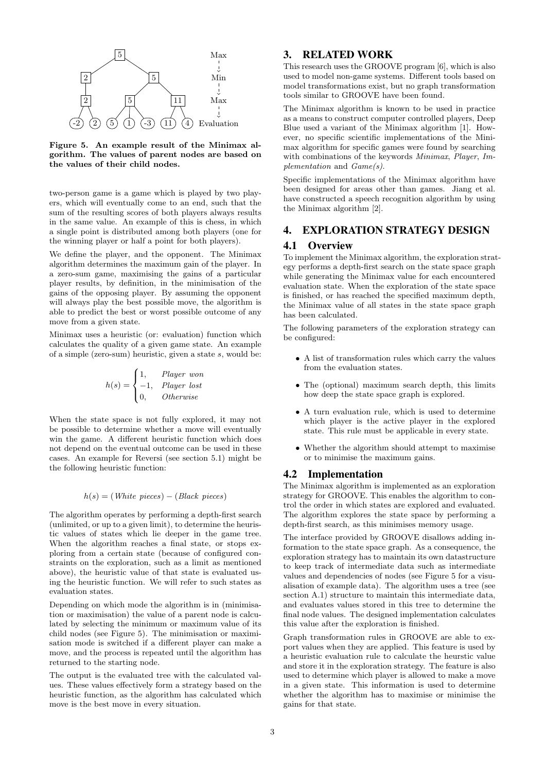

Figure 5. An example result of the Minimax algorithm. The values of parent nodes are based on the values of their child nodes.

two-person game is a game which is played by two players, which will eventually come to an end, such that the sum of the resulting scores of both players always results in the same value. An example of this is chess, in which a single point is distributed among both players (one for the winning player or half a point for both players).

We define the player, and the opponent. The Minimax algorithm determines the maximum gain of the player. In a zero-sum game, maximising the gains of a particular player results, by definition, in the minimisation of the gains of the opposing player. By assuming the opponent will always play the best possible move, the algorithm is able to predict the best or worst possible outcome of any move from a given state.

Minimax uses a heuristic (or: evaluation) function which calculates the quality of a given game state. An example of a simple (zero-sum) heuristic, given a state  $s$ , would be:

$$
h(s) = \begin{cases} 1, & Player\ won \\ -1, & Player\ lost \\ 0, & Otherwise \end{cases}
$$

When the state space is not fully explored, it may not be possible to determine whether a move will eventually win the game. A different heuristic function which does not depend on the eventual outcome can be used in these cases. An example for Reversi (see section 5.1) might be the following heuristic function:

$$
h(s) = (White\ pieces) - (Black\ pieces)
$$

The algorithm operates by performing a depth-first search (unlimited, or up to a given limit), to determine the heuristic values of states which lie deeper in the game tree. When the algorithm reaches a final state, or stops exploring from a certain state (because of configured constraints on the exploration, such as a limit as mentioned above), the heuristic value of that state is evaluated using the heuristic function. We will refer to such states as evaluation states.

Depending on which mode the algorithm is in (minimisation or maximisation) the value of a parent node is calculated by selecting the minimum or maximum value of its child nodes (see Figure 5). The minimisation or maximisation mode is switched if a different player can make a move, and the process is repeated until the algorithm has returned to the starting node.

The output is the evaluated tree with the calculated values. These values effectively form a strategy based on the heuristic function, as the algorithm has calculated which move is the best move in every situation.

# 3. RELATED WORK

This research uses the GROOVE program [6], which is also used to model non-game systems. Different tools based on model transformations exist, but no graph transformation tools similar to GROOVE have been found.

The Minimax algorithm is known to be used in practice as a means to construct computer controlled players, Deep Blue used a variant of the Minimax algorithm [1]. However, no specific scientific implementations of the Minimax algorithm for specific games were found by searching with combinations of the keywords *Minimax*, *Player*, *Im*plementation and Game(s).

Specific implementations of the Minimax algorithm have been designed for areas other than games. Jiang et al. have constructed a speech recognition algorithm by using the Minimax algorithm [2].

# 4. EXPLORATION STRATEGY DESIGN

#### 4.1 Overview

To implement the Minimax algorithm, the exploration strategy performs a depth-first search on the state space graph while generating the Minimax value for each encountered evaluation state. When the exploration of the state space is finished, or has reached the specified maximum depth, the Minimax value of all states in the state space graph has been calculated.

The following parameters of the exploration strategy can be configured:

- A list of transformation rules which carry the values from the evaluation states.
- The (optional) maximum search depth, this limits how deep the state space graph is explored.
- A turn evaluation rule, which is used to determine which player is the active player in the explored state. This rule must be applicable in every state.
- Whether the algorithm should attempt to maximise or to minimise the maximum gains.

#### 4.2 Implementation

The Minimax algorithm is implemented as an exploration strategy for GROOVE. This enables the algorithm to control the order in which states are explored and evaluated. The algorithm explores the state space by performing a depth-first search, as this minimises memory usage.

The interface provided by GROOVE disallows adding information to the state space graph. As a consequence, the exploration strategy has to maintain its own datastructure to keep track of intermediate data such as intermediate values and dependencies of nodes (see Figure 5 for a visualisation of example data). The algorithm uses a tree (see section A.1) structure to maintain this intermediate data, and evaluates values stored in this tree to determine the final node values. The designed implementation calculates this value after the exploration is finished.

Graph transformation rules in GROOVE are able to export values when they are applied. This feature is used by a heuristic evaluation rule to calculate the heurstic value and store it in the exploration strategy. The feature is also used to determine which player is allowed to make a move in a given state. This information is used to determine whether the algorithm has to maximise or minimise the gains for that state.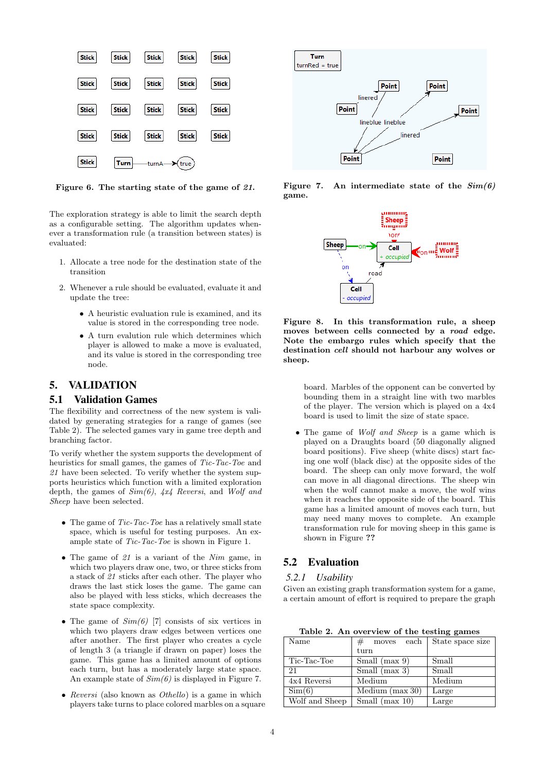

Figure 6. The starting state of the game of 21.

The exploration strategy is able to limit the search depth as a configurable setting. The algorithm updates whenever a transformation rule (a transition between states) is evaluated:

- 1. Allocate a tree node for the destination state of the transition
- 2. Whenever a rule should be evaluated, evaluate it and update the tree:
	- A heuristic evaluation rule is examined, and its value is stored in the corresponding tree node.
	- A turn evalution rule which determines which player is allowed to make a move is evaluated, and its value is stored in the corresponding tree node.

## 5. VALIDATION

#### 5.1 Validation Games

The flexibility and correctness of the new system is validated by generating strategies for a range of games (see Table 2). The selected games vary in game tree depth and branching factor.

To verify whether the system supports the development of heuristics for small games, the games of Tic-Tac-Toe and 21 have been selected. To verify whether the system supports heuristics which function with a limited exploration depth, the games of  $Sim(6)$ ,  $4x4$  Reversi, and Wolf and Sheep have been selected.

- The game of  $Tic-Tac-Toe$  has a relatively small state space, which is useful for testing purposes. An example state of Tic-Tac-Toe is shown in Figure 1.
- The game of 21 is a variant of the Nim game, in which two players draw one, two, or three sticks from a stack of 21 sticks after each other. The player who draws the last stick loses the game. The game can also be played with less sticks, which decreases the state space complexity.
- The game of  $Sim(6)$  [7] consists of six vertices in which two players draw edges between vertices one after another. The first player who creates a cycle of length 3 (a triangle if drawn on paper) loses the game. This game has a limited amount of options each turn, but has a moderately large state space. An example state of  $Sim(6)$  is displayed in Figure 7.
- Reversi (also known as *Othello*) is a game in which players take turns to place colored marbles on a square

![](_page_3_Figure_15.jpeg)

Figure 7. An intermediate state of the  $Sim(6)$ game.

![](_page_3_Figure_17.jpeg)

Figure 8. In this transformation rule, a sheep moves between cells connected by a road edge. Note the embargo rules which specify that the destination cell should not harbour any wolves or sheep.

board. Marbles of the opponent can be converted by bounding them in a straight line with two marbles of the player. The version which is played on a 4x4 board is used to limit the size of state space.

• The game of *Wolf and Sheep* is a game which is played on a Draughts board (50 diagonally aligned board positions). Five sheep (white discs) start facing one wolf (black disc) at the opposite sides of the board. The sheep can only move forward, the wolf can move in all diagonal directions. The sheep win when the wolf cannot make a move, the wolf wins when it reaches the opposite side of the board. This game has a limited amount of moves each turn, but may need many moves to complete. An example transformation rule for moving sheep in this game is shown in Figure ??

# 5.2 Evaluation

#### *5.2.1 Usability*

Given an existing graph transformation system for a game, a certain amount of effort is required to prepare the graph

Table 2. An overview of the testing games

| Name           | $_{\#}$<br>$\operatorname{each}$<br>moves | State space size |
|----------------|-------------------------------------------|------------------|
|                | $_{\rm turn}$                             |                  |
| Tic-Tac-Toe    | Small $(max 9)$                           | Small            |
| 21             | Small (max $3$ )                          | Small            |
| 4x4 Reversi    | Medium                                    | Medium           |
| Sim(6)         | Medium $(max 30)$                         | Large            |
| Wolf and Sheep | Small (max $10$ )                         | Large            |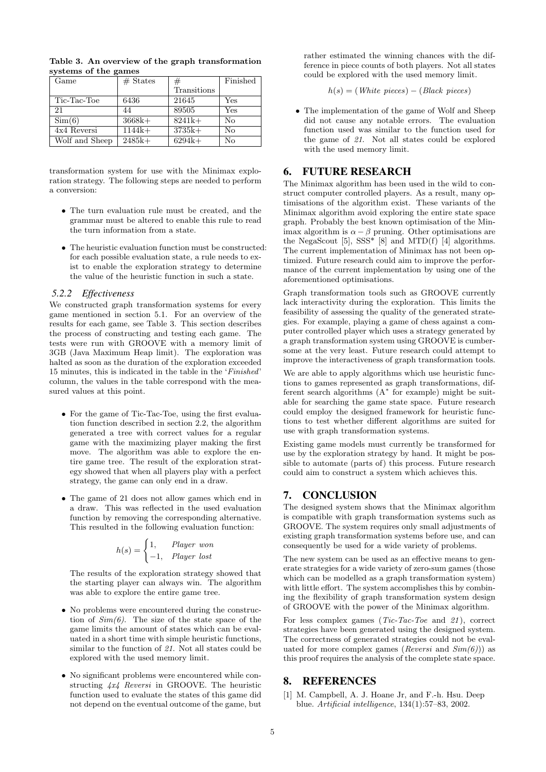| Game           | $#$ States | #           | Finished |
|----------------|------------|-------------|----------|
|                |            | Transitions |          |
| Tic-Tac-Toe    | 6436       | 21645       | Yes      |
| 21             | 44         | 89505       | Yes      |
| Sim(6)         | $3668k+$   | $8241k+$    | No       |
| 4x4 Reversi    | $1144k+$   | $3735k+$    | Nο       |
| Wolf and Sheep | $2485k+$   | $6294k+$    | No       |

Table 3. An overview of the graph transformation systems of the games

transformation system for use with the Minimax exploration strategy. The following steps are needed to perform a conversion:

- The turn evaluation rule must be created, and the grammar must be altered to enable this rule to read the turn information from a state.
- The heuristic evaluation function must be constructed: for each possible evaluation state, a rule needs to exist to enable the exploration strategy to determine the value of the heuristic function in such a state.

## *5.2.2 Effectiveness*

We constructed graph transformation systems for every game mentioned in section 5.1. For an overview of the results for each game, see Table 3. This section describes the process of constructing and testing each game. The tests were run with GROOVE with a memory limit of 3GB (Java Maximum Heap limit). The exploration was halted as soon as the duration of the exploration exceeded 15 minutes, this is indicated in the table in the 'Finished' column, the values in the table correspond with the measured values at this point.

- For the game of Tic-Tac-Toe, using the first evaluation function described in section 2.2, the algorithm generated a tree with correct values for a regular game with the maximizing player making the first move. The algorithm was able to explore the entire game tree. The result of the exploration strategy showed that when all players play with a perfect strategy, the game can only end in a draw.
- The game of 21 does not allow games which end in a draw. This was reflected in the used evaluation function by removing the corresponding alternative. This resulted in the following evaluation function:

$$
h(s) = \begin{cases} 1, & Player \ won \\ -1, & Player \ lost \end{cases}
$$

The results of the exploration strategy showed that the starting player can always win. The algorithm was able to explore the entire game tree.

- No problems were encountered during the construction of  $Sim(6)$ . The size of the state space of the game limits the amount of states which can be evaluated in a short time with simple heuristic functions, similar to the function of 21. Not all states could be explored with the used memory limit.
- No significant problems were encountered while constructing 4x4 Reversi in GROOVE. The heuristic function used to evaluate the states of this game did not depend on the eventual outcome of the game, but

rather estimated the winning chances with the difference in piece counts of both players. Not all states could be explored with the used memory limit.

$$
h(s) = (White\ pieces) - (Black\ pieces)
$$

• The implementation of the game of Wolf and Sheep did not cause any notable errors. The evaluation function used was similar to the function used for the game of 21. Not all states could be explored with the used memory limit.

### 6. FUTURE RESEARCH

The Minimax algorithm has been used in the wild to construct computer controlled players. As a result, many optimisations of the algorithm exist. These variants of the Minimax algorithm avoid exploring the entire state space graph. Probably the best known optimisation of the Minimax algorithm is  $\alpha - \beta$  pruning. Other optimisations are the NegaScout  $[5]$ , SSS\*  $[8]$  and MTD(f)  $[4]$  algorithms. The current implementation of Minimax has not been optimized. Future research could aim to improve the performance of the current implementation by using one of the aforementioned optimisations.

Graph transformation tools such as GROOVE currently lack interactivity during the exploration. This limits the feasibility of assessing the quality of the generated strategies. For example, playing a game of chess against a computer controlled player which uses a strategy generated by a graph transformation system using GROOVE is cumbersome at the very least. Future research could attempt to improve the interactiveness of graph transformation tools.

We are able to apply algorithms which use heuristic functions to games represented as graph transformations, different search algorithms (A<sup>∗</sup> for example) might be suitable for searching the game state space. Future research could employ the designed framework for heuristic functions to test whether different algorithms are suited for use with graph transformation systems.

Existing game models must currently be transformed for use by the exploration strategy by hand. It might be possible to automate (parts of) this process. Future research could aim to construct a system which achieves this.

## 7. CONCLUSION

The designed system shows that the Minimax algorithm is compatible with graph transformation systems such as GROOVE. The system requires only small adjustments of existing graph transformation systems before use, and can consequently be used for a wide variety of problems.

The new system can be used as an effective means to generate strategies for a wide variety of zero-sum games (those which can be modelled as a graph transformation system) with little effort. The system accomplishes this by combining the flexibility of graph transformation system design of GROOVE with the power of the Minimax algorithm.

For less complex games  $(Tic-Tac-Toe$  and  $21)$ , correct strategies have been generated using the designed system. The correctness of generated strategies could not be evaluated for more complex games (*Reversi* and  $Sim(6)$ )) as this proof requires the analysis of the complete state space.

## 8. REFERENCES

[1] M. Campbell, A. J. Hoane Jr, and F.-h. Hsu. Deep blue. Artificial intelligence, 134(1):57–83, 2002.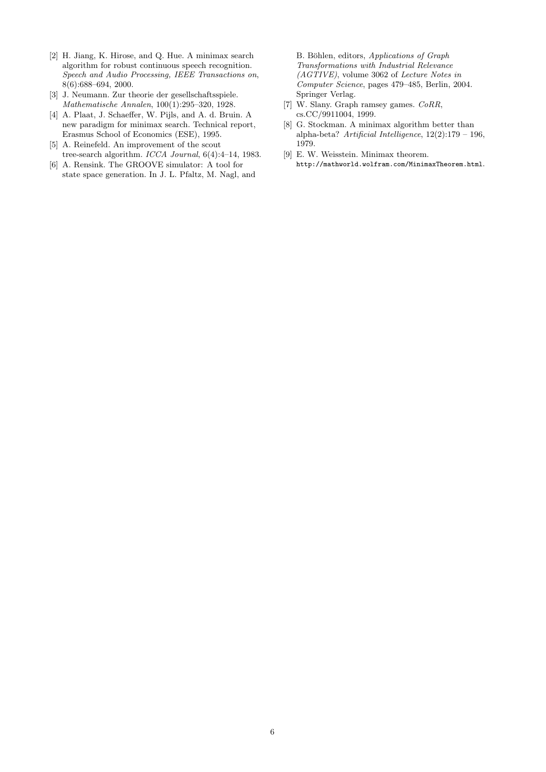- [2] H. Jiang, K. Hirose, and Q. Hue. A minimax search algorithm for robust continuous speech recognition. Speech and Audio Processing, IEEE Transactions on, 8(6):688–694, 2000.
- [3] J. Neumann. Zur theorie der gesellschaftsspiele. Mathematische Annalen, 100(1):295–320, 1928.
- [4] A. Plaat, J. Schaeffer, W. Pijls, and A. d. Bruin. A new paradigm for minimax search. Technical report, Erasmus School of Economics (ESE), 1995.
- [5] A. Reinefeld. An improvement of the scout tree-search algorithm. ICCA Journal, 6(4):4–14, 1983.
- [6] A. Rensink. The GROOVE simulator: A tool for state space generation. In J. L. Pfaltz, M. Nagl, and

B. Böhlen, editors, Applications of Graph Transformations with Industrial Relevance (AGTIVE), volume 3062 of Lecture Notes in Computer Science, pages 479–485, Berlin, 2004. Springer Verlag.

- [7] W. Slany. Graph ramsey games. CoRR, cs.CC/9911004, 1999.
- [8] G. Stockman. A minimax algorithm better than alpha-beta? Artificial Intelligence, 12(2):179 – 196, 1979.
- [9] E. W. Weisstein. Minimax theorem. http://mathworld.wolfram.com/MinimaxTheorem.html.